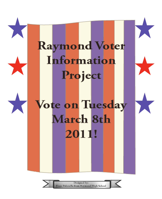

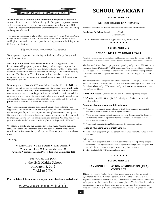# RAYMOND VOTER INFORMATION PROJECT

**Welcome to the Raymond Voter Information Project** and our second annual edition of our voter information guide. Our goal is to provide voters with clear, comprehensive, objective information about Raymond's 2011 Town and School warrant articles in a format that voters will find interesting and easy to understand.

This year we sponsored a talk by Ben Frost, Esq. on *"How to Write an Effective Citizen's Petition Warrant Article."* In addition, we invited Raymond middle and high school students to participate in a writing contest, submitting up to 250 words on the topic:

# *"Why should citizens participate in local elections?"*

We are pleased to present the winning entries here, and hope that you will find them inspiring.

Each **Raymond Voter Information Project 2011** listing gives a short introduction with purpose, pertinent history, and tax impact expressed in amount per \$1,000 of property valuation. (To figure your tax for each item, divide the assessed dollar value of your home by 1,000 and then multiply by the rate.) The Raymond Voter Information Project makes no value judgments on taxes but leaves it up to each voter to decide if the cost listed is worth the benefit.

Next we give the effect of a **YES vote** followed by the effect of a **NO vote**. Finally, you will see our research on **reasons why some voters might vote yes**, and then **reasons why some voters might vote no**. For links to listed references, and to exact wording of articles on the ballot, check our website at www.raymondvip.info. Since our guide takes about a week to produce and distribute, last minute changes may not make it into print, but they will be posted on our website as soon as we receive them.

Our reporters, citizen readers, editors, and website staff welcome your suggestions and comments. Contact us if you would like to serve as a citizen reader next year. If you like what you see here, please consider joining the Raymond Voter Information Project or making a donation so that our work to encourage informed voter participation can continue. We are a non-profit group, entirely funded by contributions. (Box 813, Raymond, NH 03077)

We offer our thanks and our appreciation to the many Raymond citizens, staff, and elected and appointed Town and School District officials who contributed information, facts, and support. The final product is entirely our own.

#### **Sincerely,**

 $\star$  Kathy Mayo  $\star$  Sally Paradis  $\star$  Kim Tyndall  $\star$  $\star$  Marilyn Elliott  $\star$  Carolyn Matthews  $\star$ **Raymond Voter Information Project Editorial Committee 2011**

> See you at the polls at the IHG Middle School on March 8, 2011 7 AM to 7 PM

# **For the latest information on any article, check our website at:**

# **www.raymondvip.info**

# **SCHOOL WARRANT**

# **SCHOOL ARTICLE 1**

# **SCHOOL BOARD CANDIDATES**

Select one candidate for School Board Member for a term of three years.

**Candidates for School Board:** Nicole Yurek Gretchen Gott

For information on the candidates, go to **www.raymondvip.info**

\* \* \* \* \*

#### **SCHOOL ARTICLE 2**

# **SCHOOL DISTRICT BUDGET 2011**

Article 2 was amended at the School Deliberative session on 12 February 2011 to add recommendations by the Raymond School Board and the Budget Committee.

The Raymond School District proposes an operating budget of \$21,771,803 for the Raymond School District's 2011-2012 school year. The proposed budget includes the increased cost for insurance and retirement benefits as billed by the providers of these services. The budget also includes a reduction in staffing and other district costs.

The proposed school budget reflects a tax decrease of \$.29 per \$1000 of valuation which is a reduction from last year of 1.3%. The proposed budget is also lower than the default school budget.<sup>1</sup> The default budget will increase the tax cost over last year by \$.08 per \$1000.<sup>2</sup>

A **YES vote** raises \$21,771,803 to fund the 2011 school operating budget.

A **NO vote** raises \$22,144,189 (the default budget) to fund the 2011 school operating budget.

#### **Reasons why some voters might vote yes:**

- \* The proposed budget was developed by the School Board, who accepted recommended reductions by the Budget Committee.
- The proposed budget maintains current services, decreases staffing based on current enrollment, and provides for the contractually increased cost of insurance and retirement.
- $\star$  The default budget is \$372,386 higher than the proposed budget.

#### **Reasons why some voters might vote no:**

\* The default budget will give the school district an additional \$372,386 to fund the district.

#### References:

- 1. The default budget is automatically raised if the proposed operating budget article fails. The figure for the default budget is the budget from last year, plus any additional contractual requirements or required increases.
- 2. Ron Brickett, SAU33 Business Administrator

#### \* \* \* \* \* \*

#### **SCHOOL ARTICLE 3**

# **RAYMOND EDUCATION ASSOCIATION (REA) CONTRACT**

This article provides funding for the first year of a two year collective bargaining agreement between the Raymond School District and the 142 teachers in the Raymond Education Association (REA). The contract outlines working conditions and expectations for both the district and its employees. Teachers' health premium contribution, co-pays for doctor visits and for prescription drugs increase; new rules for personal and sick leave apply; more time at school is required for faculty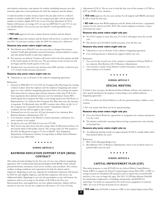and student conferences, and options for student scheduling increase; new-hire insurance plans have lower premiums for both the employee and the district.

A reduced number of salary increase steps in the pay plan result in a reduced number of teachers eligible (40%) for an evergreen pay plan<sup>1</sup> and an increased number of teachers eligible (60%) for a Cost of Living Adjustment (COLA). Salaries will increase on average 2.6% in year one (\$850-\$2,111) and 3.5% in year two (\$1200-\$2264). Tax cost for year one: \$50,297 or \$.05 per \$1000 of tax valuation.<sup>2</sup>

A **YES vote** approves the new contract between teachers and the district.

A **NO vote** means that teachers and the district will not have a contract for school year 2011-12 and must continue under the 2009-10 contract for a third year.<sup>3</sup>

#### **Reasons why some voters might vote yes:**

- The District saves \$236,452 over two years due to changes that increase teachers' health plan premiums, increased insurance and prescriptions-co pays, and only partial benefits to part time employees.<sup>4</sup>
- $\star$  Pay increases are delayed. Teachers will receive half in the first quarter and half in the fourth quarter in the first year. The pay increase in the second year will not begin until the fourth quarter of the year.
- Teachers have not received a pay increase since 2009, and they would now pay 17% of their health insurance premiums.<sup>5</sup>

#### **Reasons why some voters might vote no:**

 $\star$  Objections to one or all terms of the collective bargaining agreement.

#### References:

- 1. Enacted in 2008, RSA 273-A:12,VII, the Evergreen Pay Plan keeps the existing contract in place when the employer and the employee bargaining unit cannot agree on a new collective bargaining agreement before the existing one expires. This means that if a step pay plan with pay increases (other than COLA) has been negotiated, those planned increases can't be terminated. Senate Bill 1, which repeals the Evergreen Pay Plan, is now being heard in the NH House of Representatives. It is believed that Evergreen Pay Plans take away the incentive to negotiate. For Raymond, since the REA contract takes effect on July 1st, if the evergreen law is repealed with the current "immediately effective" condition, the law will not apply to this contract.
- 2. Estimated tax cost for year two: \$.22 per thousand of tax valuation. Ron Brickett, Business Administrator, SAU 33
- 3. Cost increases outside of the District's control (insurance, retirement, etc.) must continue to be funded.
- 4. Saving for year one: \$163,264; for year two: \$73,188.
- 5. Most recent state data shows that the average salary for Raymond teachers is in the bottom third of NH public schools. The average salary for NH teachers is \$51,443; the Raymond average is 9% less at \$46,807. New Hampshire Department of Education, Teacher Average Salary in Public School Districts for School Year 2009-2010

#### \* \* \* \* \* \*

#### **SCHOOL ARTICLE 4**

# **RAYMOND EDUCATION SUPPORT STAFF (RESS) CONTRACT**

This article provides funding for the first year of a two year collective bargaining agreement with 112 Raymond Educational Support Staff (RESS) which includes para-professionals, secretaries, food service workers, and custodians. The contract outlines working conditions and expectations for both the district and its employees. Beginning in year one, stipends for certification/education will increase by \$100 for each eligible employee, and full-time employees will receive one additional holiday. Beginning in year one, the prescription co-pay will increase for employees with a cost savings to the district of \$13,448 in the first year. Bereavement leave and unpaid leave use have added restrictions. Salaries will not increase in year one. In year two, employees will receive a 2% Cost of Living

Adjustment (COLA). The tax cost to fund the first year of the contract is \$7,200 or \$.007 per \$1000 of tax valuation.<sup>1</sup>

A **YES vote** approves the two-year contract for all support staff (RESS) and raises \$7,220 to fund the first year.

A **NO vote** means that RESS employees and the district will not have a negotiated contract for the school year 2011-2012. The current employee insurance co-pays will remain the same.<sup>2</sup>

#### **Reasons why some voters might vote yes:**

- $\star$  No COLA impact to taxes this year; 2% COLA will impact taxes the second year.
- $\star$  The district saves \$13,448 in health insurance costs the first year.

#### **Reasons why some voters might vote no:**

- Objections to one or all terms of the collective bargaining agreement.
- Cost of living increase is delayed for support staff by one year.

#### References:

- 1. Tax cost for the second year of the contract is estimated at \$.04 per \$1000 of tax valuation. Ron Brickett, SAU33 Business Administrator.
- 2. Cost increases outside of the District's control (insurance, retirement, etc.) must continue to be funded.

#### ★ ★ ★ ★ ★

#### **SCHOOL ARTICLE 5**

# **SPECIAL MEETING**

If Article 2 does not pass, the Raymond School District will have the authority to call a special meeting for the purpose of presenting a new ratified collective bargaining agreement.<sup>1</sup>

A YES vote allows the School District to call one special meeting to address a new contract.

A NO vote means that there can be no special meeting.

#### **Reasons why some voters might vote yes:**

- Gives the School Board the opportunity to renegotiate the contract and present it to the voters.
- The district could hold a meeting without having to petition the court, thereby saving legal fees.

#### **Reasons why some voters might vote no:**

 An additional meeting would cost approximately \$1,200 if a simple ballot rather than printed ballots are used.<sup>2</sup>

References:

- 1. RSA 32:20, Municipal Budget Law
- 2. Ron Brickett, SAU 33 Business Administrator. Note: Cost would be more if a printed ballot must be used.

\* \* \* \* \* \*

#### **SCHOOL ARTICLE 6**

#### **CAPITAL IMPROVEMENT PLAN (CIP)**

This article proposes to raise \$195,000 for two School District Capital Reserve Funds (CRFs) to support the School's Capital Improvement Plan (CIP). A CRF is a savings account for scheduled CIP purchases and/or repairs that exceed \$10,000 and have a five year or longer life span. The 2011-12 CIP plan allocates \$166,000 for maintenance/replacement of buildings and grounds, and \$29,000 for technology. No funds are requested for the food service equipment or textbook CRFs. Tax cost: \$.195 per thousand of tax valuation.<sup>1</sup>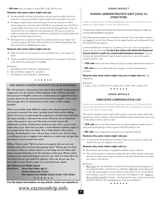#### A **NO vote** raises no money to fund CRFs in the CIP this year.

#### **Reasons why some voters might vote yes:**

- Saving gradually can help avoid spikes in the tax rate that could occur if the total cost of necessary purchases and/or repairs had to be paid in one year.
- $\star$  Funding a Capital Improvement Plan gives towns the authority to collect school impact fees from developers (\$1,469 for an apartment, up to \$3,369 for a single family home) that can be used to fund school capital needs.<sup>2</sup> Since the School CIP was not funded last year, allowing the CIP to go a second year without funding risks mandatory reduction or elimination of school impact fees during the annual impact fee review.
- $\star$  Bond payments not paid by impact fees must be paid by taxes. Impact fees saved the taxpayers \$47,932 in 2010 and \$92,314 in 2009 and helped pay the Iber Holmes Gove Middle School bond.<sup>3</sup>

#### **Reasons why some voters might vote no:**

- High cost items can be financed as they are needed with a voter approved bond.
- $\star$  Projects should be bonded (borrowed) and paid for as a project is built and used, rather than saving prior to building.

#### References:

- 1. Ron Brickett, SAU33 Business Administrator
- 2. Bruce Mayberry, Impact fee consultant
- 3. Ron Brickett, SAU33 Business Administrator

#### \* \* \* \* \* \*

# **WHY SHOULD CITIZENS PARTICIPATE IN LOCAL ELECTIONS?**

**We call ourselves a democracy, but what is that worth? A democracy is supposed to be the opinion of the majority of the citizens, but only forty percent of eligible voters vote. A democracy is supposed to be a country driven by the citizens, but if most of our eligible voters can't find enough drive for themselves to vote, where is this country headed?**

**There are actually three different steps to the election process. First, you need to research the issue. Actually know what you're talking about. You have to understand the importance of each issue and what the issue actually is. Research the issues! If you're not an informed voter, what good is your vote? Second, you need to go to the deliberative session. Deliberative session is only once a year, so just make time to go. Now that you have a well informed opinion, argue it. Let people know what you think. Try to help inform other voters. Finally, the hard part is over. All you have to do is vote. You've done everything you can to support your opinion, so make sure you get that last chance to put in your two cents.**

**Hillary Clinton said, "All of us have to recognize that we owe our children more than we have been giving them." Please give us what we deserve. Give us a future where we can bring out new ideas and create instead of having to fix the mistakes of the past. Please, when voting season comes participate and vote. As a kid, I've done all I can. You won't let me vote until I'm eighteen. Now do all you can. Use your right to vote. Please, make us a real democracy again.** 

**Iber Holmes Gove Middle School First Place: Alyssa May White, age 12 Lived in Raymond: 5 years Iber Holmes Gove Middle School, Grade 7, Ms. Fosher** \* \* \* \* \* \*

**For the latest information on any article, check our website at:**

#### **SCHOOL ARTICLE 7**

# **SCHOOL ADMINISTRATIVE UNIT (SAU) 33 STRUCTURE**

Article 7 was amended at the School Deliberative session on 12 February 2011 to replace the original article text with the following text:

To see if the voters will advise the Raymond School board to retain its current administration structure.

This citizen petition article was submitted to both the Town and School warrants. See Article 17 on the Town Warrant for the original article and for Raymond Voter Information Project analysis.

At School Deliberative Session on 12 February 2011, the article was amended to include only the following: **To see if the voters will advise the Raymond School board to retain its current administration structure.** Gordon Graham, the School District's Legal Counsel, stated that a vote on this article would be advisory only.<sup>1</sup>

A **YES vote** advises the School Board to keep its current administration structure.

A **NO vote** advises the School Board to change its current administration structure.

**Reasons why some voters might vote yes or might vote no:** Selfexplanatory.

References:

1. Ashley v. Rye, 111 NH 54 (1971), RSA 194-C:4, RSA 189:1-a, RSA 21:29

\* \* \* \* \* \*

#### **SCHOOL ARTICLE 8**

#### **EMPLOYEE COMPENSATION CAP**

Article 8 was amended at the School Deliberative session on 12 February 2011 to increase the cap limit from \$150,000 to \$225,000 and to specifically note that the vote on this article is advisory only.

This citizen's petition warrant article seeks to place a cap on the salary and benefit package for a school employee. The School District Legal Counsel states that a vote on this article would be advisory only.<sup>1</sup>

A **YES vote** advises the School Board that no school employee should receive a salary and benefit package valued at greater than \$225,000 per year.

A **NO vote** leaves compensation decisions up to the School Board.

#### **Reasons why some voters might vote yes:**

 To instruct the School Board to consider a limit on the amount of salary and benefits that any one employee can receive.

#### **Reasons why some voters might vote no:**

- Recruitment and retention of qualified candidates may be affected.
- This article provides no method to adjust the cap to reflect already contracted increases in salaries and changes in insurance and other benefit costs not under the control of the District.

#### References:

1. RSA 21:29, the School Board is entrusted with the hiring and management of the prudential affairs of the District by definition. RSA 194 requires Raymond to provide superintendent services defined under statute. Every school district must belong to an SAU even if it is their own. NH Supreme Court - Ashley v. Rye, 111 N.H. 54 (1971)- finding…"the long and the short of the matter is that the School Board is the managing board of the School District."

\* \* \* \* \* \*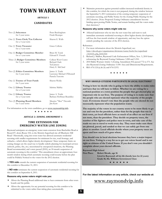# **TOWN WARRANT**

# **ARTICLE 1**

# **CANDIDATES**

| $Two(2)$ Selectmen<br>for 3-year terms                 | Peter Buckingham<br>Frank Bourque                                      |
|--------------------------------------------------------|------------------------------------------------------------------------|
| One (1) Town Clerk/Tax Collector<br>for a 3-year term  | Sharon E. Walls                                                        |
| One (1) Town Treasurer<br>for a 3-year term            | <b>Grace Collette</b>                                                  |
| One (1) Budget Committee Member<br>for a 1-year term   | Brian M. Yurek<br>Edward F. French                                     |
| Three (3) Budget Committee Members<br>for 3-year terms | Colleen West-Coates<br>Richard Clark<br>Ted Janusz<br>Harry E. McClard |
| Two (2) Ethics Committee Members<br>for 3-year terms   | James A. Tuttle<br>Lawrence Michael O'Donnell<br>Pamela Turcotte       |
| One (1) Trustee of Trust Funds<br>for 3-year term      | Sharon Weldy                                                           |
| One (1) Library Trustee<br>for a 2-year term           | Sabrina Maltby                                                         |
| One (1) Library Trustee<br>for a 3-year term           | James A. Tuttle<br>Barbara Hoffman Beardsley                           |
| Two (2) Planning Board Members<br>for 3-year terms     | Maurice "Moe" Titcomb<br>Jim Kent                                      |
|                                                        |                                                                        |

For information on the town candidates, go to **www.raymondvip.info**

\* \* \* \* \* \*

### **ARTICLE 2: ZONING AMENDMENT 1**

# **TIME EXTENSION FOR EMERGENCY WATER LINE ZONING**

Raymond anticipates an emergency water main extension from Batchelder Road at Route107, down Route 102, to the Mottolo Superfund site off Blueberry Hill Road.<sup>1</sup> Historically, tying into town water has allowed automatic residential rezoning with smaller requirements for minimum lot size, road frontage, and setbacks—which allows higher density development.<sup>2</sup> Since temporary limits on zoning changes are the usual way to handle orderly planning for municipal services (schools, police, fire, etc.) necessitated by unexpected situations, the Planning Board recommended, and voters passed (2010), an 18-month suspension of automatic rezoning in this corridor.<sup>3</sup> This amendment closes an approximate fourmonth window during which automatic rezoning could resume before the plan could be Publicly Noticed to the voters for the 2012 election.

A **YES vote** extends the current suspension of automatic residential rezoning for this corridor to December 31, 2011.

A **NO vote** terminates the current suspension of automatic residential rezoning for this corridor on September 8, 2011.

#### **Reasons why some voters might vote yes:**

- Allows the Planning Board additional time to hear comments from other town boards and the public.
- Allows the opportunity for any potential rezoning for this corridor to be submitted to the voters rather than taking place automatically.

 Maintains protection against potential sudden increased residential density in this corridor, for which the town is not prepared, during the window between the September 9, 2011 termination of the existing temporary suspension of automatic rezoning, and Public Notice for the Zoning Public Hearing for the 2012 election. (Note: Proposed Zoning Ordinance amendments become binding upon posting Public Notice, and remain binding until the voters make their decision.)<sup>4</sup>

#### **Reasons why some voters might vote no:**

 Affected landowners who tie into the new water line and want to seek immediate automatic residential rezoning to allow higher density development, will lose the four-month window of opportunity, and may lose the option entirely pending the outcome of the 2012 election.

#### References:

- 1. For more information about the Mottolo Superfund, see: http://des.nh.gov/organization/divisions/waste/hwrb/fss/superfund /mottolo\_pig\_farm.htm
- 2. Richard J. Mailhot, Raymond Code Enforcement Officer, Nov. 5, 2010 letter referencing the Raymond Zoning Ordinance 3.200 and 3.210.
- 3. 2010 Ballot Warrant Article 3 (Zoning Amendment #2) passed 772 to 571. See also Raymond Zoning Ordinance 5.100: Area and Dimensional Requirements. 4. RSA 676.12:I:(a) & (b) and 676:12:VI.
	-

#### **WHY SHOULD CITIZENS PARTICIPATE IN LOCAL ELECTIONS?**

\* \* \* \* \* \*

**Voting is how we decide who is going to have the ability to make rules and laws that we will have to follow. Whether we are voting for a national position or a town position the people that get elected play an important role in our lives. The purpose of voting is to make sure that the people who are elected represent what the majority of the people want. If everyone doesn't vote then the people who are elected do not necessarily represent what the population wants.**

**The majority of the voters in our country seem to be more likely to go out and vote for the president, rather than for the people that run in their town, yet local officials have as much of an effect on our lives if not more, than the president. They decide on property taxes, the number of fire fighters and police men in town, and take care of the roads we use to travel to work every day. They must make sure these are plowed, paved, and sanded so that we can safely get from one place to another. Local officials decide where your property taxes are spent and how much of it goes where.**

**You should vote in local elections because they have a major impact on our lives. Voting is a way for us to get our voices heard and is our right as citizens of the United States. If you don't vote you shouldn't complain about your elected officials.**

**Raymond High School**

**First Place: Robert Meade, age 16 Lived in Raymond: all his life (family here for 22 years) Grade 10, Ms. Williams Government Class** \* \* \* \* \* \*

**For the latest information on any article, check our website at:**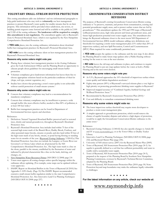#### **ARTICLE 3: ZONING AMENDMENT 2**

# **VOLUNTARY SMALL-STREAM BUFFER PROTECTION**

This zoning amendment adds one definition<sup>1</sup> and two informational paragraphs to help guide landowners who may wish to **voluntarily** use best management practices to protect Raymond's water quality for smaller streams that lie on their property. This information will be provided when subdivision, site review, or building permit requests come forward and will be available to the public in 2.100 and 3.320 of the zoning ordinance. **No landowner will be required to comply; this amendment is not regulatory.** The amendment applies only to Raymond's Zone G Protected Shoreland Area<sup>2</sup>, which is not regulated by the New Hampshire Comprehensive Shoreland Protection Act.

A **YES vote** places, into the zoning ordinance, information about shoreland buffer best management practices for Raymond's Protected Shoreland Area.

A **NO vote** leaves the zoning ordinance silent on best management practices for Raymond's Protected Shoreland Area.

#### **Reasons why some voters might vote yes:**

- $\star$  Placing these voluntary best management practices in the Zoning Ordinance gives the Code Enforcement Officer and the Planning Board an opportunity to educate people about guidelines for encouraging small-stream buffer protection.
- Voluntary compliance gives landowners information but leaves them free to choose appropriate solutions based on the particular conditions of their lot (slope, soil type, current vegetation, etc.)
- Studies have shown that protecting a town's water quality is not achievable without careful protection of small stream systems.<sup>3</sup>

#### **Reasons why some voters might vote no:**

- $\star$  Concern that voluntary compliance may lead to a recommendation for mandatory compliance.<sup>4</sup>
- Concern that voluntary compliance may be insufficient to protect a wide enough buffer (the most effective buffer, needed to filter 80% of pollution, is at least 100 feet wide.)<sup>5</sup>
- \* Buffer best management practices can be found in Department of Environmental Services reports and elsewhere.

#### References:

- 1. Definition: Natural Vegetated Shoreland Buffer: preserved and/or restored trees, shrubs and natural groundcover, throughout Raymond's Shoreland Protection Area.
- 2. Raymond's Shoreland Protection Area includes land within 75 feet of the seasonal high-water mark of the Branch River, Dudley Brook, Fordway, and other perennial major brooks, streams or ponds; and also land within 50 feet of the high water mark of any brook, stream, or pond having flowing or standing water for six months of the year. (Raymond Zoning Ordinance 3.320.02.a) This Shoreland Protection Area does not include the Lamprey or Exeter River nor Governor's or Onway Lakes which are all protected by the NH Comprehensive Shoreland Protection Act.. The high water mark is a line on the shore, parallel to the stream, established by the fluctuation of water and indicated by physical characteristic like a line on the bank, shelving, soil changes, etc.
- 3. New Hampshire Water Resources Primer (NH DES 12/2008) page 2-8
- 4. Voters must approve all zoning changes unless specific language within the ordinance allows updating. (For example, some maps can be updated without voter approval.)
- 5. SNHPC Report on Shoreland Buffers in the Town of Raymond (8/2010) See Appendix C: EPA Study. (Page 33).The SNHPC Report recommended extensive small-stream buffer regulation similar to the state Comprehensive Shoreland Protection Act. Also Innovative Land Use Planning Techniques (NH DES/OEP.10/2008: page 237)

#### **ARTICLE 4: ZONING AMENDMENT 3**

# **GROUNDWATER CONSERVATION DISTRICT REVISIONS**

The purpose of Raymond's existing Groundwater Conservation District zoning ordinance is "to preserve, maintain, and protect from contamination, existing and potential groundwater supply areas, and to protect surface waters that are fed by groundwater."<sup>1</sup> This amendment updates the 1992 and 1990 maps of Raymond's wellhead protection areas, high value present and future groundwater areas, and future high-production potential town water supply areas. The amendment also brings the Raymond ordinance closer to the most recent NH Department of Environmental Services (DES) model ordinance adding: new definitions; new thresholds for requiring a storm water management plan (15% rather than 20% of impervious surface); and new Spill Prevention, Control and Countermeasure (SPCC) Plans required for some conditionally permitted uses.

A **YES vote** accepts the updates to the ordinance and the new map. It also allows the Planning Board to make future map updates after a Public Hearing without waiting for the town to vote at the next election.

A **NO vote** leaves the old map and ordinance in place, and continues to require the Planning Board to put any map updates before the voters at both a Public Hearing and at the next town election.

#### **Reasons why some voters might vote yes:**

- $\star$  At 9.3%, Raymond approaches the 10% threshold of impervious surface where water quality and habitat degradation accelerate.<sup>2</sup>
- Eighty-nine percent (89%) of Raymond's surveyed citizens place a very high to high priority on protecting groundwater/drinking water supplies in Raymond.<sup>3</sup>
- $\star$  Improved mapped accuracy of "Combined Aquifer, Surficial Geology and Wellhead Protection Areas."4
- \* Recommended by Raymond's Sourcewater Protection Plan (2010).<sup>5</sup>
- Cost and difficulty to remediate contaminated drinking water.

#### **Reasons why some voters might vote no:**

- \* The lower impervious surface threshold may require more developers to produce a storm water management plan.
- $\star$  A simpler approach to groundwater protection, which would remove the chance of aquifer boundary disputes and achieve a high degree of protection, would be to apply the Groundwater Conservation District ordinance to the entire town.<sup>6</sup>

#### References:

- 1. Raymond Zoning Ordinance (3.340.02) See also specific changes to Article III and IV at www.raymondnh.gov or at the Town Office or Dudley Tucker Library.
- 2. Innovative Land Use Planning Techniques (NH DES/OEP.10/2008; page 232) and Raymond Master Plan (page 230).
- 3. University of NH citizen survey (2007) for the Raymond Master Plan (2009).
- 4. Town of Raymond, NH Sourcewater Protection Plan (2010: page 24-5) An aquifer is generally defined as a soil that has sufficient permeability and water to readily yield a sustainable water supply.
- 5. Town of Raymond, NH Sourcewater Protection Plan (2010: page 24-5), prepared at the request of the Planning Board by Southern New Hampshire Planning Commission, overseen by Raymond's Technical Review Committee, adopted by the Planning Board.
- 6. Town of Raymond, NH Sourcewater Protection Plan (2010: page 30) Note: Protection beyond map boundaries may make the ordinance legally vulnerable to challenges.

#### \* \* \* \* \* \*

#### **For the latest information on any article, check our website at:**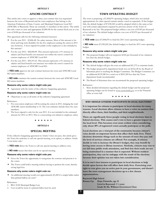#### **ARTICLE 5**

# **AFSCME CONTRACT**

This article asks voters to approve a three year contract that was negotiated between the town of Raymond and the town employees that belong to the American Federation of State, County, and Municipal Employees Local 863 (AFSCME) of Raymond. There are currently 11 members in this union.<sup>1</sup> The article also asks voters to raise and appropriate \$3,806.48 for the current fiscal year at a tax cost of \$.004 per thousand of tax valuation.

This agreement calls for the following estimated increases:

- $\star$  For the year 2011 \$3,806.48. No salary increase. Most of this amount is for short and long term disability for the five employees joining the union in 2011 (see footnote). A boot stipend for public works employees is also included in this amount.<sup>2</sup>
- $\star$  For the year 2012 \$28,068.89. This amount represents a 4% increase in salaries and fixed benefit cost increases not within the town's control for current employees of AFSCME Local 863.
- $\star$  For the year 2013 \$29,191.65. This amount represents a 4% increase in salaries and fixed benefit cost increases not within the town's control for current employees of AFSCME Local 863.

A **YES vote** approves the new contract between the town and AFSCME Local 863 union members.

A **NO vote** continues the current contract between the town and AFSCME Local 863 union members.

#### **Reasons why some voters might vote yes:**

 $\star$  Agreement with the terms of the collective bargaining agreement.

#### **Reasons why some voters might vote no:**

Objections to one or all terms of the collective bargaining agreement.

References:

- 1. Five non-union employees will be joining the union in 2011, bringing the total AFSCME union membership to 16. The cost estimates include these five new members.
- 2. The boot stipend is only for the year 2011. It is not included in the estimated amount for 2012 or 2013. This is a reoccurring cost related to employee safety.

#### \* \* \* \* \* \*

# **ARTICLE 6**

#### **SPECIAL MEETING**

If the collective bargaining agreement in Article 5 does not pass, this article gives the Town the authority to call one special meeting, at its option, to address Article 5 cost items only.<sup>1</sup>

A **YES vote** allows the Town to call one special meeting to address costs.

A **NO vote** means that there can be no special meeting.

#### **Reasons why some voters might vote yes:**

- $\star$  Gives the Town the opportunity to renegotiate the contract and present it to the voters.
- The Town could hold a meeting without having to petition the court, thereby saving legal fees.

#### **Reasons why some voters might vote no:**

 An additional meeting would cost approximately \$1,200 if a simple ballot rather than printed ballots are used.<sup>2</sup>

References:

- 1. RSA 32:20 Municipal Budget Law
- 2. Cost would be more if a printed ballot must be used.

#### **ARTICLE 7**

# **TOWN OPERATING BUDGET**

The town is proposing a \$7,008,870 operating budget, which does not include appropriations for other special warrant articles voted on separately. If this budget fails, the default budget of \$7,030,242 would be adopted which is the same as last year with certain adjustments required by previous actions of the Town of Raymond or by law. The proposed budget reflects a tax cost of \$3.85 per thousand of tax valuation. The default budget reflects a tax cost of \$3.874 per thousand of tax valuation.<sup>1</sup>

A **YES vote** raises \$7,008,870 to fund the 2011 town operating budget.

A **NO vote** raises \$7,030,242 (the default budget) to fund the 2011 town operating budget.

#### **Reasons why some voters might vote yes:**

 $\star$  The proposed budget will cost taxpayers \$.024 per thousand of tax valuation less than the default budget.

#### **Reasons why some voters might vote no:**

- \* The default budget will give the town an additional \$21,372 to maintain funds.
- \* The budget proposed by department heads was cut \$152,120 by the Board of Selectman prior to reaching the Budget Committee. The Budget Committee cut an additional \$139,380 for a total cut of \$291,500 less than the Town department heads recommended.
- \* The Board of Selectmen does not recommend the proposed operating budget.

References:

1. More detailed information regarding the default budget and the proposed operating budget can be found at: www.raymondnh.gov or at the Financial office at town hall.

\* \* \* \* \* \*

#### **WHY SHOULD CITIZENS PARTICIPATE IN LOCAL ELECTIONS?**

**It is important for citizens to participate in local elections for many reasons. Local elections allow citizens to have a voice on matters that directly affect them, their families, and their neighborhoods.**

**There are significantly fewer people voting in local elections than in federal elections. This causes one's vote to have a greater impact on the local level. This becomes even more evident when considering, only about 30% of registered voters actually participate at the polls.**

**Local elections are a vital part of the community because citizen's votes decide on important factors that affect their daily lives. These elections determine things such as the amount of taxes they pay and the level of services citizens are offered. For example, if citizens decide to vote to increase the library's budget, they may benefit by having more access to library resources. Similarly, citizens may vote to cut full time public work attendants, and find that their roads are not being maintained in a manner that is expected. Without resident participation, they can be unhappy with the result of the elections because their opinion was not taken into consideration.**

**It is in one's best interest to participate in local elections to help decide upon factors that will affect their daily lives. Exercising your right to vote gives you an active part in your government, and doesn't leave the town management decisions up to a few chosen representatives.**

**Raymond High School Runner-Up: Hope Palattella, age 15 Lived in Raymond: 1 ½ years Grade 10, Ms. Williams Government Class**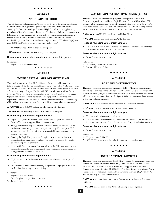#### **ARTICLE 8**

# **SCHOLARSHIP FUND**

This article raises and appropriates \$2,000 for the Town of Raymond Scholarship Fund for Raymond High School graduating seniors and Raymond residents attending the first year of college. Raymond High School students apply through the school office; others apply at Town Hall. The Board of Selectmen appoints two Selectmen to review the applications and make recommendations. Recipients are chosen by the Board of Selectmen who also determine the amount of each scholarship. (The last few years, the Board has given two \$1,000 scholarships.) Tax cost: \$0.002 per \$1,000 of tax valuation (same as last year).<sup>1</sup>

A **YES vote** will add \$2,000 to the Scholarship Fund.

A **NO vote** will not fund the Scholarship Fund this year.

### **Reasons why some voters might vote yes or no:** Self-explanatory.

#### References:

1. Raymond Finance Department.

#### \* \* \* \* \* \*

#### **ARTICLE 9**

# **TOWN CAPITAL IMPROVEMENT PLAN**

This article proposes to place \$185,900 into six Town Capital Reserve Funds (CRFs) to support the Town's Capital Improvement Plan (CIP). A CRF is a savings account for scheduled CIP purchases and/or repairs that exceed \$15,000 and have a five-year or longer life span. The 2011-12 CIP plan allocates \$185,900 for the following CRFs: building maintenance/improvement, highway heavy equipment, highway vehicle replacement, police/dispatch equipment and vehicles, fire department and vehicles, and parks equipment/vehicles/facilities. The remaining CRFs will not be funded this year. Tax cost: \$.19 per thousand of tax valuation.<sup>1</sup>

A **YES vote** raises \$185,900 to fund six CRFs in the CIP this year.

A **NO vote** raises no money to fund CRFs in the CIP this year.

#### **Reasons why some voters might vote yes:**

- Raymond Capital Improvement Plan Committee, Budget Committee, and Board of Selectmen support this recommendation.
- Saving gradually can help avoid spikes in the tax rate that could occur if the total cost of a necessary purchase or repair must be paid in one year. CRF savings also avoid the cost in interest when capital improvements must be bonded (borrowed).
- Funding the Capital Improvement Plan gives the town the authority to collect impact fees from developers to help pay for road construction that would otherwise be paid out of taxes.<sup>2</sup>
- \* Since the CIP was not funded last year, allowing the CIP to go a second year without funding risks mandatory reduction or elimination of road impact fees during the annual impact fee review.<sup>3</sup>

#### **Reasons why some voters might vote no:**

- \* High cost items can be financed as they are needed with a voter approved bond.
- \* Projects should be bonded (borrowed) and paid for as a project is built and used, rather than saving prior to building.

#### References:

- 1. Raymond Finance Office
- 2. Bruce Mayberry, Impact Fee consultant
- 3. Town Counsel

\* \* \* \* \*

#### **ARTICLE 10**

# **WATER CAPITAL RESERVE FUNDS (CRFS)**

This article raises and appropriates \$25,000 to be deposited in the water department's previously established Capital Reserve Funds (CRFs). These CRF accounts allow the department to save for expensive items related to Raymond's town water needs.<sup>1</sup> This is the same amount set aside as last year and in previous years. There is no tax impact since town water users fund these CRFs.<sup>2</sup>

A **YES vote** puts \$25,000 into already established CRFs.

A **NO vote** will not add funds to these CRFs this year.

#### **Reasons why some voters might vote yes:**

 To ensure that money will be available for scheduled mandated maintenance of town water wells and other town water needs.

#### **Reasons why some voters might vote no:**

 $\star$  None determined at this time.

References:

- 1. Pat Bower, Director of Public Works
- 2. Raymond Finance Office

#### \* \* \* \* \* \*

#### **ARTICLE 11**

# **ROAD RECONSTRUCTION**

This article raises and appropriates the sum of \$149,000 for road reconstruction projects as determined by the Director of Public Works.<sup>1</sup> This appropriation will not lapse for two years, or until the road reconstruction work has been completed, whichever comes sooner.<sup>2</sup> Tax cost: \$.15 per \$1000 of tax valuation. Same amount as last year and previous years.

- A **YES vote** allows the town to continue road reconstruction projects.
- A **NO vote** puts road reconstruction further behind schedule.

#### **Reasons why some voters might vote yes:**

- \* To keep road maintenance on schedule.
- \* To decrease the percentage of road miles in need of repair. This percentage has increased in recent years due to the rise in cost of asphalt and other products.

#### **Reasons why some voters might vote no:**

 $\star$  None determined at this time.

References:

- 1. Department of Public Works
- 2. RSA 32:7:VI gives towns the authority to create non-lapsing funds.

# \* \* \* \* \* \*

### **ARTICLE 12**

# **SOCIAL SERVICE AGENCIES**

This article raises and appropriates \$70,234 for 14 Social Service agencies providing services to Raymond residents. This is \$14,113 less than last year because the American Red Cross–Manchester Chapter did not appear before the Board of Selectmen to request funding (\$1,200 in 2010)<sup>1</sup> and the Rockingham Visiting Nurse Association does not require funding from Raymond this year (\$12,913 in 2010). Tax cost: \$0.07 per \$1,000 of tax valuation.

A **YES vote** will contribute to the Social Service agencies that serve Raymond residents.

A **NO vote** will not provide any Raymond funding to these agencies.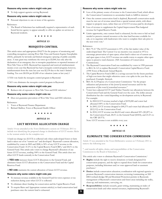#### **Reasons why some voters might vote yes:**

To help support agencies serving Raymond.

#### **Reasons why some voters might vote no:**

**\*** Personal objections to one or more of the agencies.

#### References:

1. The Board of Selectmen has traditionally required a representative of each Social Service agency to appear annually to offer an update on services to Raymond residents.

#### \* \* \* \* \* \*

#### **ARTICLE 13**

# **MOSQUITO CONTROL**

This article raises and appropriates \$54,075 for the purpose of monitoring and controlling mosquitoes carrying West Nile Virus and Eastern Equine Encephalitis (EEE), primarily by larvicide and limited emergency spraying of public assembly areas. A state grant may reimburse the town up to \$3,000, but only after the declaration of an emergency due to mosquito populations or reported instances of West Nile Virus or EEE. Raymond has requested and received reimbursement monies every year that Raymond has had a mosquito control program; however, reimbursement from the state last year was \$2,130 due to the state's limited funding. Tax cost: \$0.054 per \$1,000 of tax valuation (same as last year).1

A YES vote funds the mosquito control program in Raymond.

A NO vote eliminates the mosquito control program in Raymond.

#### **Reasons why some voters might vote yes:**

\* Reduces risk of exposure to West Nile Virus and EEE infection.<sup>2</sup>

#### **Reasons why some voters might vote no:**

Does not guarantee prevention of West Nile Virus and EEE infection.

#### References:

- 1. Town of Raymond Finance Department
- 2. Richard Mailhot, Town of Raymond Health Officer

\* \* \* \* \* \*

#### **ARTICLE 14**

# **LUCT REVENUE ALLOCATION CHANGE**

Article 14 was amended at the Town Deliberative session on 5 February 2011 to include text identifying the proposed change in distribution of LUCT monies. Refer to the warrant article for the complete text.

A land use change tax (LUCT) is collected only when undeveloped forest or farm land is taken out of its "current use" and developed.<sup>1</sup> Raymond's current allocation, established by voters in 2005 and 2008, is 50% of any LUCT revenue to the Conservation Fund,<sup>2</sup> 21.4% to the Capital Reserve Fund (CRF),<sup>3</sup> and 28.6% to the General Fund. This article asks voters to change Raymond's allocation of any future LUCT revenue, sending 100% to the General Fund. This article does not affect LUCT funds currently in the Conservation Fund.

A **YES vote** increases future LUCT allocations to the General Fund, and eliminates future LUCT allocations to the Conservation Fund and the Capital Reserves Fund.

A **NO vote** maintains the current allocation of future LUCT revenue.

#### **Reasons why some voters might vote yes:**

- To increase revenue available in the General Fund for town expenses or tax reduction during years when LUCT is collected.
- To eliminate direct funding for conservation and the Capital Reserve Fund.
- To require Raise and Appropriate warrant article(s) to fund conservation land purchases once the current fund is exhausted.

## **Reasons why some voters might vote no:**

- Loss of the primary source of revenue to the Conservation Fund, which allows the Conservation Commission to accumulate funds to fulfill its mission.<sup>4</sup>
- Once the current conservation fund is depleted, Raymond's conservation needs must be met out of revenue raised from a special warrant article, with direct impact to property taxes, rather than out of LUCT revenue paid by developers.
- \* Loss of revenue to supplement the Capital Improvement Plan budgeted revenue for Capital Reserve Funds.
- Limits opportunity, once current fund is exhausted, for the town to bid on land needed to preserve natural resources at the time land becomes available for sale, or to negotiate with landowners who want to complete their sale prior to the next town vote.<sup>5</sup>

#### References:

- 1. RSA 79.A:7 The LUCT assessment is 10% of the fair market value of the undeveloped land. The Current Use tax incentive was created in 1972 to encourage preservation of open space; when land is taken out of current use and open space is lost, LUCT revenue can enable towns to acquire other open space to preserve rural character. (NH Association of Conservation Commissions)
- 2. The Raymond Conservation Fund was established by voters in 1990 pursuant to RSA 36-A:5 to replace Raymond's Conservation Capital Reserve Fund. (1990 Town of Raymond Annual Report).
- 3. The Capital Reserves Fund (CRF) is a savings account for the future purchase of high cost items that might otherwise cause a tax spike in the year they are purchased. Example: firetruck.
- 4. RSA 36-A:2 Purpose of a Conservation Commission: "for the proper utilization and protection of the [town's] natural resources and for the protection of [the town's] watershed resources."
- 5. Voters have adjusted LUCT (and Timber Transfer tax) allocations between the Conservation Fund and the General Fund over the years. The dollar amount distribution has also varied depending on development activity in Raymond. For example:
	- \* In 2004 LUCT revenue reached a high of \$195,000 and voters had allocated 100% to the Conservation Fund.
	- $\star$  In 2005, LUCT revenue dropped to \$40,375 and voters had allocated 30% (\$12,112) to the Conservation Fund.
	- $\star$  In 2010, LUCT revenue was \$6,414 and voters allocated 50% (\$3,207) to the Conservation Fund, 28.6% to the General Fund (\$1834), and 21.6% to the CRF (\$1373).

Note: LUCT revenue is not available every year.

# \* \* \* \* \* \*

### **ARTICLE 15**

# **ELIMINATE THE CONSERVATION COMMISSION**

Article 15 was amended at the Town Deliberative session on 5 February 2011 to remove the following text:

"...and transfer all rights, duties, and responsibilities of the Conservation Commission to the Board of Selectmen..."

This article asks voters to eliminate Raymond's Conservation Commission.<sup>1</sup>

- **Rights** include the right to receive donations or funds designated for conservation purposes, and the right to expend those funds for conservation purposes, including Selectmen and/or voter approved land or easement purchases.<sup>2</sup>
- **Duties** include conservation education; coordination with regional agencies to promote Raymond's conservation interests; reviewing/commenting on NH DES wetland dredge/fill and Shoreland Protection permits in Raymond; management of Raymond's conservation and forest areas including site walks, clean-up, trail maintenance, surveying, etc.
- **Responsibilities** include research, grant writing, maintaining an index of conservation lands and other natural resources, implementing Raymond's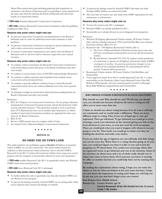Master Plan conservation goals including proposing land acquisitions or easements to the Board of Selectmen and/or responding to citizen petitions for the same, and otherwise advising the Board of Selectmen and other town boards on Conservation matters.

#### A **YES vote** eliminates Raymond's Conservation Commission.

A **NO vote** continues Raymond's Conservation Commission under the guidelines established in RSA 36-A.

### **Reasons why some voters might vote yes:**

- To prevent Conservation Commission recommendations to the Board of Selectmen and/or voters for additional conservation easements or land purchases.
- \* To prevent Conservation Commission assistance to private landowners who wish to place conservation easements on their land.
- To remove Conservation Commission review/advice when the Board of Selectmen seeks to sell town land or otherwise impact the town's natural resources.

### **Reasons why some voters might vote no:**

- To continue without interruption the Raymond Conservation Commission's work of providing research and advice to the Board of Selectmen and other town boards.
- \* To continue to ensure timely review of NH DES wetland dredge/fill permits.<sup>3</sup>
- To continue to address questions and complaints from residents about conservation and environmental laws.
- To continue to provide sufficient volunteer hours to ensure Raymond's conservation needs can be met without additional cost to the town's general budget.<sup>4</sup>
- To maintain oversight on conservation related decisions pending before the Board of Selectmen and other town boards.

#### References:

- 1. RSA 36-A Purpose of a Conservation Commission: "for the proper utilization and protection of the [town's] natural resources and for the protection of [the town's] watershed resources." This protection extends to town owned land. Since 1979, Raymond has had a seven-member (plus Selectmen's ex-officio member) Conservation Commission; members are appointed for three-year terms by the Board of Selectmen.
- 2. RSA 36-A:4
- 3. Review of DES permits must be complete within 45 days.
- 4. See Annual Town of Raymond Reports: Conservation Commission.

#### \* \* \* \* \* \*

#### **ARTICLE 16**

# **NO OHRV USE ON TOWN LAND**

This article reinforces the prohibition against **wheeled** off-highway recreational vehicle (OHRV) use on town owned land.<sup>1</sup> The article further amends the ordinance to limit recreational vehicle restrictions only to wheeled OHRVs. Raymond's Code 281-1<sup>2</sup> restricts all recreational vehicles<sup>3</sup> from using town-owned property with the exception of snowmobiles allowed on seven town properties.<sup>4</sup>

A **YES vote** modifies Raymond Code 281-1 to specifically restrict only Wheeled OHRVs from town-owned property.

#### A **NO vote** leaves Raymond Code 281-1 unchanged.

#### **Reasons why some voters might vote yes:**

- To further define the code to specifically state that only wheeled OHRVs are not allowed on town property.
- \* To prevent the damage caused by wheeled OHRV use on existing trails, which causes exposed rocks, erosion and damage to wetlands.
- To prevent the damage caused by wheeled OHRVs that make new trails through wildlife habitats on conservation lands.
- \* The town does not receive any state funds from OHRV registrations for trail maintenance or enforcement.

#### **Reasons why some voters might vote no:**

- $\star$  To leave the current code 281-1 unchanged.
- Wheeled OHRVs are already prohibited in 281-1.

\* Snowmobile use is already allowed on seven designated town properties.

#### References:

- 1. Wheeled Off-Highway Recreational Vehicles include: All Terrain Vehicles (three and four wheeled motorized ATVs) and Trail Dirt Bikes (two wheeled motorized vehicles). (RSA 215-A:1)
- 2. Raymond Code Off-Highway Recreational Vehicles (281-1)
	- A. The Town of Raymond Board of Selectmen hereby gives notice that all Town-owned land is restricted from use by any and all recreational vehicles.
	- B. Revised Statutes Annotated 215-A:29, XI, requires written permission of a landowner to operate an off-highway recreational vehicle (OHRV) on property of another. Any previous permissions thought to exist should now be considered abolished. No such permission will be granted. Violators will be prosecuted.
- 3. Recreational Vehicles include: All Terrain Vehicles, Trail Dirt Bikes, and Snowmobiles.
- 4. Voters approved Article 20 in 2010 to modify Raymond Code 281-1 to allow snowmobiles on the Dearborn, Lillian Cassier Memorial Forest, Flint Hill, Robinson Hill properties and town-owned properties located on Shattagee Road, Bald Hill Road, Langford Road, and Colonial Drive.



# **WHY SHOULD CITIZENS PARTICIPATE IN LOCAL ELECTIONS?**

**Why should we vote? Why should we care? I'll tell why you should care; you should care because whatever the town is voting on will affect you in more ways than one.**

**I think we should care about voting because if we do vote it will help our community and we would make a difference. There are many different steps to voting. First, if you are of legal age to vote, get registered. Then get informed. To get informed you could go to town meetings, watch your television on the channel giving you info on the local elections in your town, or even just read the local newspaper. Then you would pick what you want to happen with whatever you are going to vote for. Then lastly you would go to where ever they are holding the elections and make your choice.**

**If you are under the age of eighteen you can still help with little things you can do every day. When there is a voting election going on in your area, you could just figure out what it is like to vote and watch the programs on TV about them. You could even encourage others that are registered voters to get informed and vote in the elections. Some of the elections are about taxes and a lot of adults really should vote to either raise taxes or lower them. Or if someone you know is running for office or another election you could help them out by running their campaign.**

**By reading the explanations about voting, I hope you can make the choice to vote for what you believe in for your town elections. I hope you now know the importance in voting and I hope you will help out in any way you can, and don't forget every vote counts!** 

**Iber Holmes Gove Middle School**

**Runner-Up: Lauren Stockel, age 14 Lived in Raymond: all her life (family here for 16 years) Grade 7, Ms. Fosher**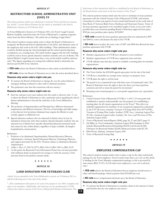#### **ARTICLE 17**

# **RESTRUCTURE SCHOOL ADMINISTRATIVE UNIT (SAU) 33**

This citizen petition article was submitted to both the Town and School warrants. See Article 7 on the School Warrant for the article as amended at the School Deliberative Session on 12 February 2011.

At Town Deliberative Session on 5 February 2011, the Town's Legal Counsel, Robert Ciandella, stated that since the Town of Raymond is a separate corporate entity from the School District, "this article has no binding or legal effect."

This citizen's petition warrant article seeks to direct the Board of Selectmen to reorganize the Raymond School Administrative Unit (SAU) and eliminate some of the employees that work in the SAU office building.<sup>1</sup> Their administrative duties would be divided among the school principals and the school special education coordinators on a rotating basis. The article further suggests that the SAU building could be used to house special education students currently sent out of district. The School District's Legal Counsel states that a vote on this article would be advisory only.<sup>2</sup> The figures regarding cost savings lack sufficient detail to determine the decrease per \$1,000 of tax valuation.

A **YES vote** advises the Board of Selectmen to take action as described above.

A **NO vote** advises the Board of Selectmen not to take the action described above.

#### **Reasons why some voters might vote yes:**

- \* To instruct the Board of Selectmen to change the way the school district is managed, shifting workload to other staff to eliminate positions.
- $\star$  The petitioners state that this restructure will save money.<sup>3</sup>

#### **Reasons why some voters might vote no:**

- State law and past court cases indicate that this article is advisory only. A vote to direct the Board of Selectmen to take a particular action regarding the school district administration is beyond the authority of the Town Deliberative Meeting.
- The positions of Superintendent and Principal have different educational requirements and different functions. The loss of knowledge and skills unique to the director-level positions eliminated may require the District to seek outside support at additional cost.
- Special education students who are educated in-district must, by law, be included in classrooms with other students. Special education students who are educated out of district have specific educational/physical/emotional needs that cannot be met within district, regardless of space available. (Examples: hospitalization, incarceration)

#### References:

- 1. Positions to be eliminated: Superintendent, Human Resources Director, Administrative Assistant, Special Education Director, Technology Director, and support personnel for the SAU. Position subject to elimination: Business Administrator.
- 2. Ashley v. Rye, 111 NH 54 (1971), RSA 194-C:4, RSA 189:1-a, RSA 21:29
- 3. At this point, the Raymond Voter Information Project has not been provided with sufficient detail on projected cost savings to verify the accuracy of the amounts listed in the petition warrant article.

\* \* \* \* \* \*

#### **ARTICLE 18**

# **LAND DONATION FOR VETERANS CLUB**

Article 18 was amended at the Town Deliberative session on 5 February 2011 to add the following text to the end of the article:

"...This commitment will expire in 10 years if the project is not 100% complete and open to its members. Additionally, this land may not be transferred by UVCR without the written consent of the Town of Raymond's Board of Selectmen. The

final terms of this transaction shall be as established by the Board of Selectmen, as the Board deems such terms in the best interest of the Town."

This citizens petition warrant article asks the town to terminate its lease-purchase agreement with the United Veterans Club of Raymond (UVCR)<sup>1</sup> and transfer ownership of a three-acre parcel of town-owned land located on the south side of State Route 27 between Radio Grove Hardware and Clearwater Estates. Terms of the lease-purchase agreement to be rescinded: length of term, seven years with a possible three-year extension pending Board of Selectmen approval; lease price, \$100 per year; purchase price option, \$150,000.<sup>2</sup>

A **YES vote** rescinds the lease-purchase agreement that was authorized in 2007 and 2008 by voters and donates the land to the UVCR.

A **NO vote** leaves in place the town votes of 2007 and 2008 that allowed the leasepurchase agreement with UVCR.

#### **Reasons why some voters might vote yes:**

- $\star$  Member organizations of UVCR have donated to town residents.<sup>3</sup>
- Member organizations of UVCR have supported town activities.
- UVCR officials state that they intend to establish a meeting place for member organizations.<sup>4</sup>

#### **Reasons why some voters might vote no:**

- ★ The Town forfeits the \$150,000 agreed-upon price for the sale of the land.
- UVCR has a charitable tax-exempt status and pays no property taxes.
- $\star$  UVCR gains the right to sell the land.
- The parcel is in a commercial zone with three acres of commercial value. The Board of Selectmen loses the right to deny the three-year lease/purchase extension and sell or retain the parcel for investment.<sup>5</sup>
- Donating town-owned property to a non-profit organization sets a precedent.

#### References:

- 1. United Veterans Club of Raymond (UVCR) is "a 501 C-19 non-profit club established to operate and potentially own the property for establishing a meeting place for all veteran organizations in the Town." This club is an umbrella organization for members of any recognized organization authorized by the UVC By-Laws, currently: Veterans of Foreign Wars Post 4479 (VFW), Veterans of Foreign Wars Ladies Auxiliary (VFW Aux.), American Legion Post 90 (AL), American Legion Ladies Auxiliary (AL Aux.), and The Sons of The American Legion (SAL).
- 2. Town of Raymond Annual Report (2008), page 26, 27 and (2007) page 19
- 3. Ed Miller, Jr. Vice Commander, American Legion #90 Examples in 2010 include: Raymond Recreation Scholarships \$2,100; Cub Scouts \$1,500; Christmas for Raymond families \$2,500, Distressed citizen relief \$1,750.
- 4. Dick Wood, Adjutant, American Legion, #90
- 5. Town of Raymond Zoning Map

#### ★ ★ ★ ★ ★ ★

#### **ARTICLE 19**

# **EMPLOYEE COMPENSATION CAP**

This citizen's petition warrant article seeks to place a cap on the salary and benefit package for any Town employee. Town Counsel states that a yes vote on this article is binding for the Town Manager compensation package, as this is governed by state statute (RSA 37:101). For all other town employees, a yes vote is advisory only.<sup>2</sup>

A **YES vote** advises the Board of Selectmen that no employee should receive a salary and benefit package valued at greater than \$125,000 per year.

A **NO vote** leaves compensation decisions up to the Board of Selectmen.

#### **Reasons why some voters might vote yes:**

 To instruct the Board of Selectmen to consider a limit on the amount of salary and benefits that any one employee can receive.